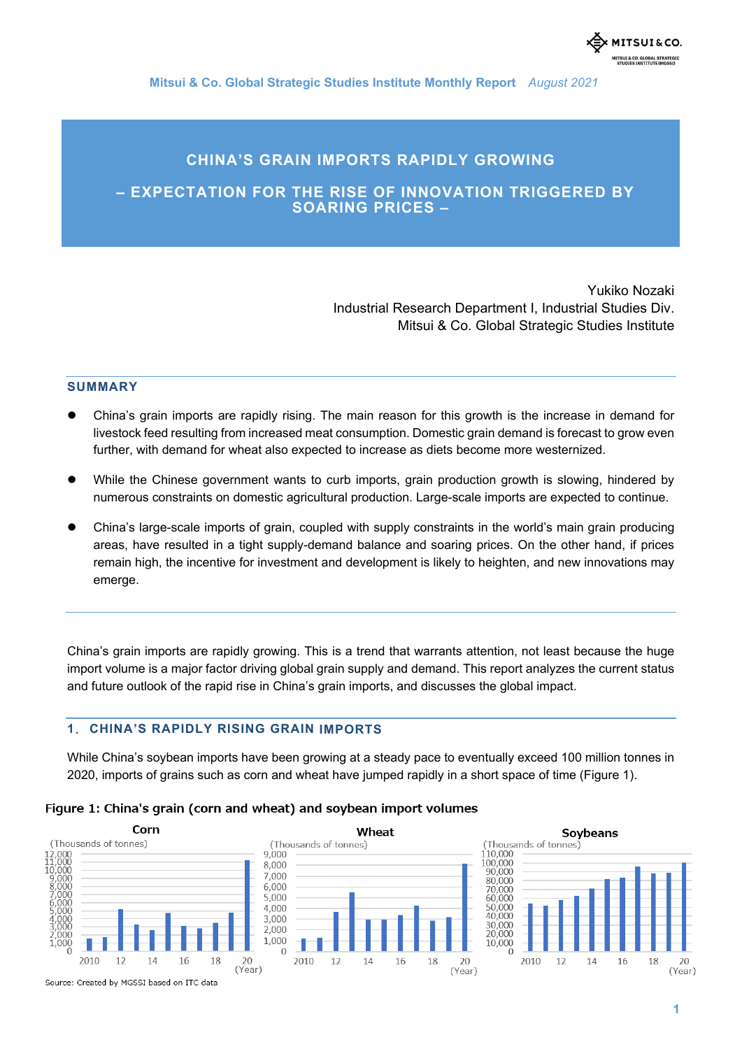**Mitsui & Co. Global Strategic Studies Institute Monthly Report** *August 2021*

# **CHINA'S GRAIN IMPORTS RAPIDLY GROWING**

# **– EXPECTATION FOR THE RISE OF INNOVATION TRIGGERED BY SOARING PRICES –**

Yukiko Nozaki Industrial Research Department I, Industrial Studies Div. Mitsui & Co. Global Strategic Studies Institute

#### **SUMMARY**

- China's grain imports are rapidly rising. The main reason for this growth is the increase in demand for livestock feed resulting from increased meat consumption. Domestic grain demand is forecast to grow even further, with demand for wheat also expected to increase as diets become more westernized.
- While the Chinese government wants to curb imports, grain production growth is slowing, hindered by numerous constraints on domestic agricultural production. Large-scale imports are expected to continue.
- China's large-scale imports of grain, coupled with supply constraints in the world's main grain producing areas, have resulted in a tight supply-demand balance and soaring prices. On the other hand, if prices remain high, the incentive for investment and development is likely to heighten, and new innovations may emerge.

China's grain imports are rapidly growing. This is a trend that warrants attention, not least because the huge import volume is a major factor driving global grain supply and demand. This report analyzes the current status and future outlook of the rapid rise in China's grain imports, and discusses the global impact.

# **1**.**CHINA'S RAPIDLY RISING GRAIN IMPORTS**

While China's soybean imports have been growing at a steady pace to eventually exceed 100 million tonnes in 2020, imports of grains such as corn and wheat have jumped rapidly in a short space of time (Figure 1).

#### Figure 1: China's grain (corn and wheat) and soybean import volumes



Source: Created by MGSSI based on ITC data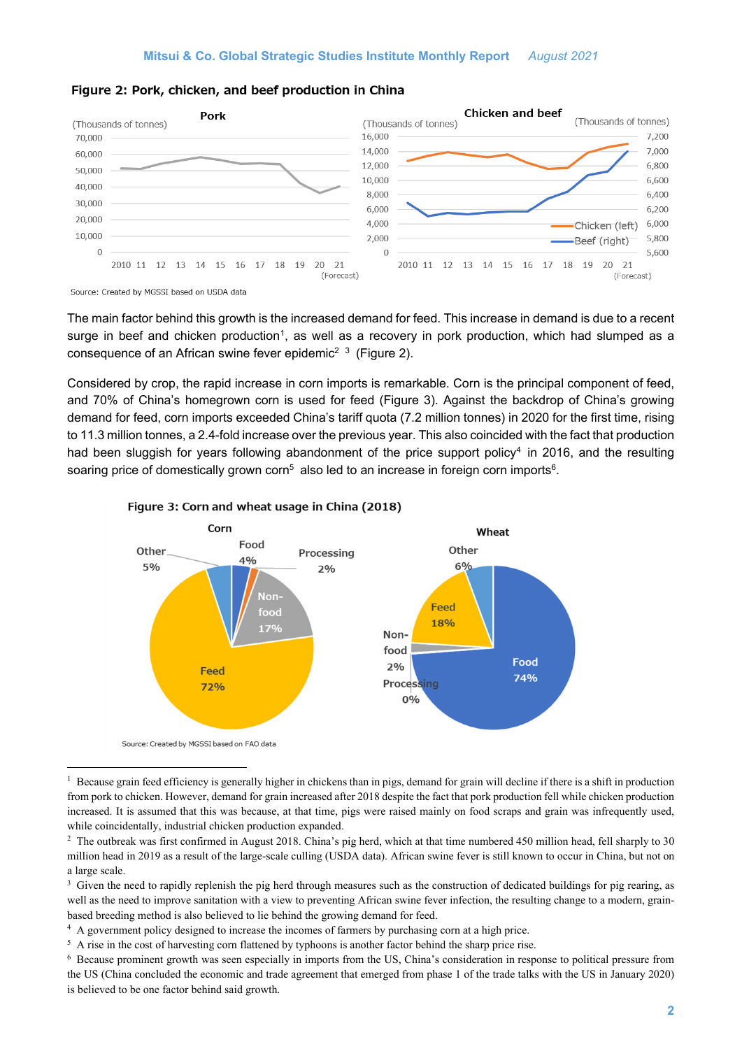



Source: Created by MGSSI based on USDA data

The main factor behind this growth is the increased demand for feed. This increase in demand is due to a recent surge in beef and chicken production<sup>1</sup>, as well as a recovery in pork production, which had slumped as a consequence of an African swine fever epidemic<sup>2 3</sup> (Figure 2).

Considered by crop, the rapid increase in corn imports is remarkable. Corn is the principal component of feed, and 70% of China's homegrown corn is used for feed (Figure 3). Against the backdrop of China's growing demand for feed, corn imports exceeded China's tariff quota (7.2 million tonnes) in 2020 for the first time, rising to 11.3 million tonnes, a 2.4-fold increase over the previous year. This also coincided with the fact that production had been sluggish for years following abandonment of the price support policy<sup>4</sup> in 2016, and the resulting soaring price of domestically grown corn<sup>5</sup> also led to an increase in foreign corn imports<sup>6</sup>.





<sup>1</sup> Because grain feed efficiency is generally higher in chickens than in pigs, demand for grain will decline if there is a shift in production from pork to chicken. However, demand for grain increased after 2018 despite the fact that pork production fell while chicken production increased. It is assumed that this was because, at that time, pigs were raised mainly on food scraps and grain was infrequently used, while coincidentally, industrial chicken production expanded.

<sup>3</sup> Given the need to rapidly replenish the pig herd through measures such as the construction of dedicated buildings for pig rearing, as well as the need to improve sanitation with a view to preventing African swine fever infection, the resulting change to a modern, grainbased breeding method is also believed to lie behind the growing demand for feed. 4 A government policy designed to increase the incomes of farmers by purchasing corn at a high price.

<sup>5</sup> A rise in the cost of harvesting corn flattened by typhoons is another factor behind the sharp price rise.<br><sup>6</sup> Because prominent growth was seen especially in imports from the US, China's consideration in response to p the US (China concluded the economic and trade agreement that emerged from phase 1 of the trade talks with the US in January 2020) is believed to be one factor behind said growth.

<sup>&</sup>lt;sup>2</sup> The outbreak was first confirmed in August 2018. China's pig herd, which at that time numbered 450 million head, fell sharply to 30 million head in 2019 as a result of the large-scale culling (USDA data). African swine fever is still known to occur in China, but not on a large scale.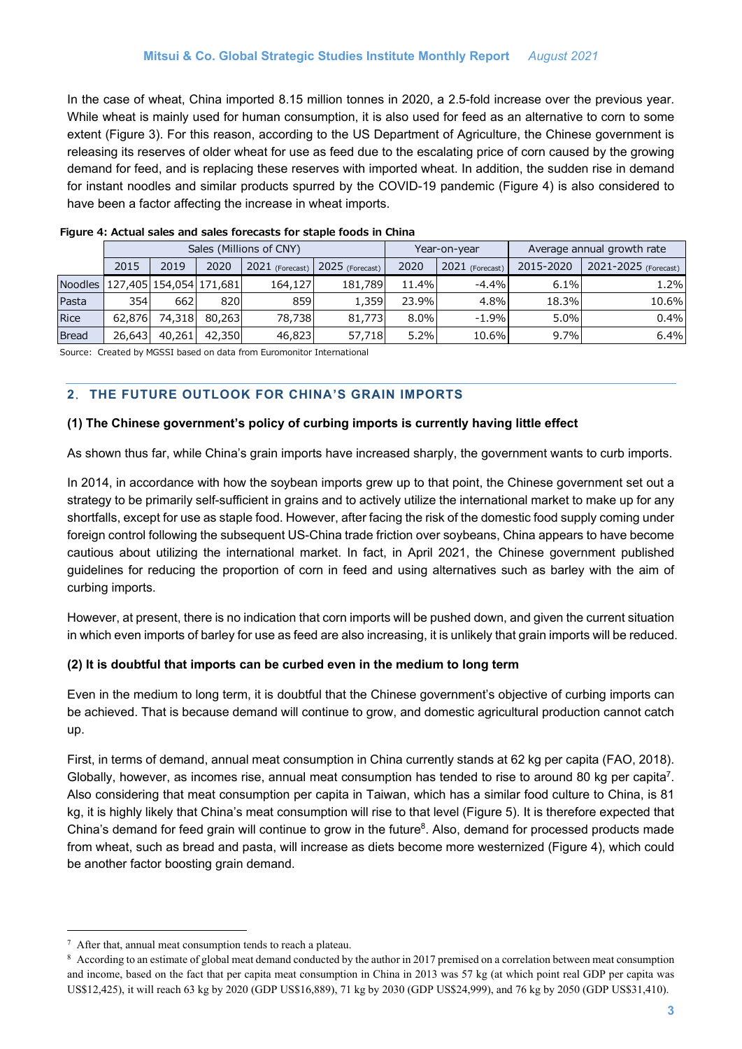In the case of wheat, China imported 8.15 million tonnes in 2020, a 2.5-fold increase over the previous year. While wheat is mainly used for human consumption, it is also used for feed as an alternative to corn to some extent (Figure 3). For this reason, according to the US Department of Agriculture, the Chinese government is releasing its reserves of older wheat for use as feed due to the escalating price of corn caused by the growing demand for feed, and is replacing these reserves with imported wheat. In addition, the sudden rise in demand for instant noodles and similar products spurred by the COVID-19 pandemic (Figure 4) is also considered to have been a factor affecting the increase in wheat imports.

|                                       | Sales (Millions of CNY) |        |        |                   |                 | Year-on-year |                 | Average annual growth rate |                      |
|---------------------------------------|-------------------------|--------|--------|-------------------|-----------------|--------------|-----------------|----------------------------|----------------------|
|                                       | 2015                    | 2019   | 2020   | $2021$ (Forecast) | 2025 (Forecast) | 2020         | 2021 (Forecast) | 2015-2020                  | 2021-2025 (Forecast) |
| Noodles   127,405   154,054   171,681 |                         |        |        | 164,127           | 181,789         | 11.4%        | $-4.4%$         | 6.1%                       | 1.2%                 |
| Pasta                                 | 354                     | 662    | 820    | 859               | 1,359           | 23.9%        | 4.8%            | 18.3%                      | 10.6%                |
| Rice                                  | 62,876                  | 74,318 | 80,263 | 78,738            | 81,773          | 8.0%         | $-1.9%$         | 5.0%                       | 0.4%                 |
| <b>Bread</b>                          | 26,643                  | 40,261 | 42,350 | 46,823            | 57,718          | 5.2%         | 10.6%           | $9.7\%$                    | 6.4%                 |

#### **Figure 4: Actual sales and sales forecasts for staple foods in China**

Source: Created by MGSSI based on data from Euromonitor International

# **2**.**THE FUTURE OUTLOOK FOR CHINA'S GRAIN IMPORTS**

### **(1) The Chinese government's policy of curbing imports is currently having little effect**

As shown thus far, while China's grain imports have increased sharply, the government wants to curb imports.

In 2014, in accordance with how the soybean imports grew up to that point, the Chinese government set out a strategy to be primarily self-sufficient in grains and to actively utilize the international market to make up for any shortfalls, except for use as staple food. However, after facing the risk of the domestic food supply coming under foreign control following the subsequent US-China trade friction over soybeans, China appears to have become cautious about utilizing the international market. In fact, in April 2021, the Chinese government published guidelines for reducing the proportion of corn in feed and using alternatives such as barley with the aim of curbing imports.

However, at present, there is no indication that corn imports will be pushed down, and given the current situation in which even imports of barley for use as feed are also increasing, it is unlikely that grain imports will be reduced.

# **(2) It is doubtful that imports can be curbed even in the medium to long term**

Even in the medium to long term, it is doubtful that the Chinese government's objective of curbing imports can be achieved. That is because demand will continue to grow, and domestic agricultural production cannot catch up.

First, in terms of demand, annual meat consumption in China currently stands at 62 kg per capita (FAO, 2018). Globally, however, as incomes rise, annual meat consumption has tended to rise to around 80 kg per capita<sup>7</sup>. Also considering that meat consumption per capita in Taiwan, which has a similar food culture to China, is 81 kg, it is highly likely that China's meat consumption will rise to that level (Figure 5). It is therefore expected that China's demand for feed grain will continue to grow in the future<sup>8</sup>. Also, demand for processed products made from wheat, such as bread and pasta, will increase as diets become more westernized (Figure 4), which could be another factor boosting grain demand.

<sup>&</sup>lt;sup>7</sup> After that, annual meat consumption tends to reach a plateau.<br><sup>8</sup> According to an estimate of global meat demand conducted by the author in 2017 premised on a correlation between meat consumption and income, based on the fact that per capita meat consumption in China in 2013 was 57 kg (at which point real GDP per capita was US\$12,425), it will reach 63 kg by 2020 (GDP US\$16,889), 71 kg by 2030 (GDP US\$24,999), and 76 kg by 2050 (GDP US\$31,410).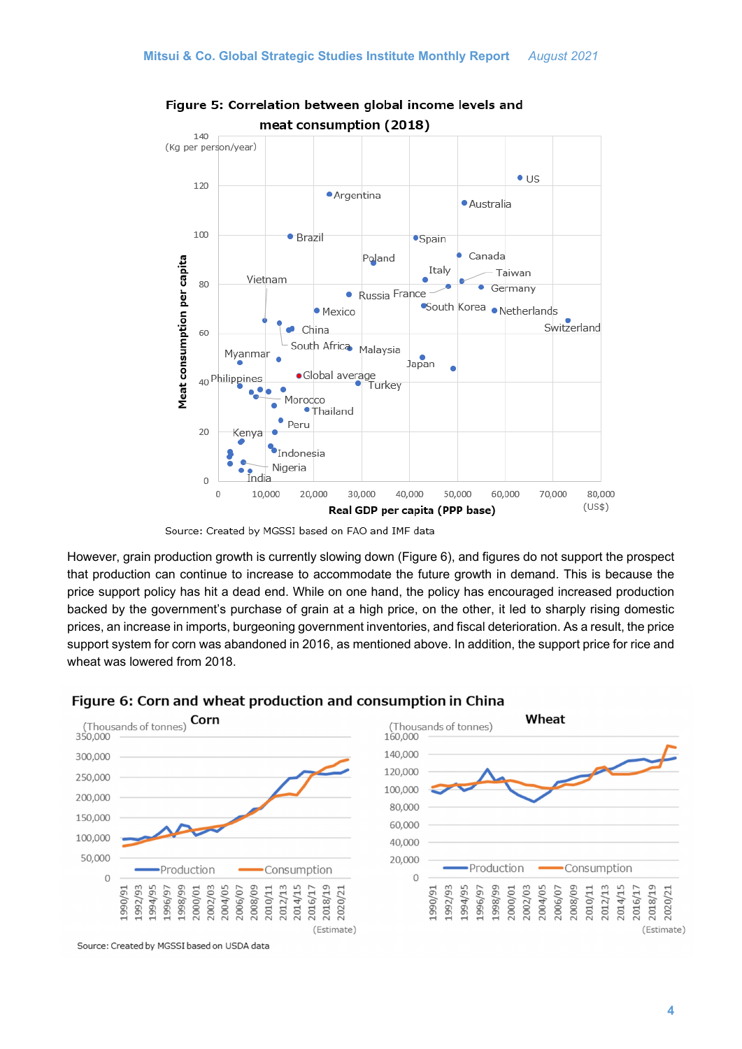

Figure 5: Correlation between global income levels and meat consumption (2018)

However, grain production growth is currently slowing down (Figure 6), and figures do not support the prospect that production can continue to increase to accommodate the future growth in demand. This is because the price support policy has hit a dead end. While on one hand, the policy has encouraged increased production backed by the government's purchase of grain at a high price, on the other, it led to sharply rising domestic prices, an increase in imports, burgeoning government inventories, and fiscal deterioration. As a result, the price support system for corn was abandoned in 2016, as mentioned above. In addition, the support price for rice and wheat was lowered from 2018.







Source: Created by MGSSI based on USDA data

Source: Created by MGSSI based on FAO and IMF data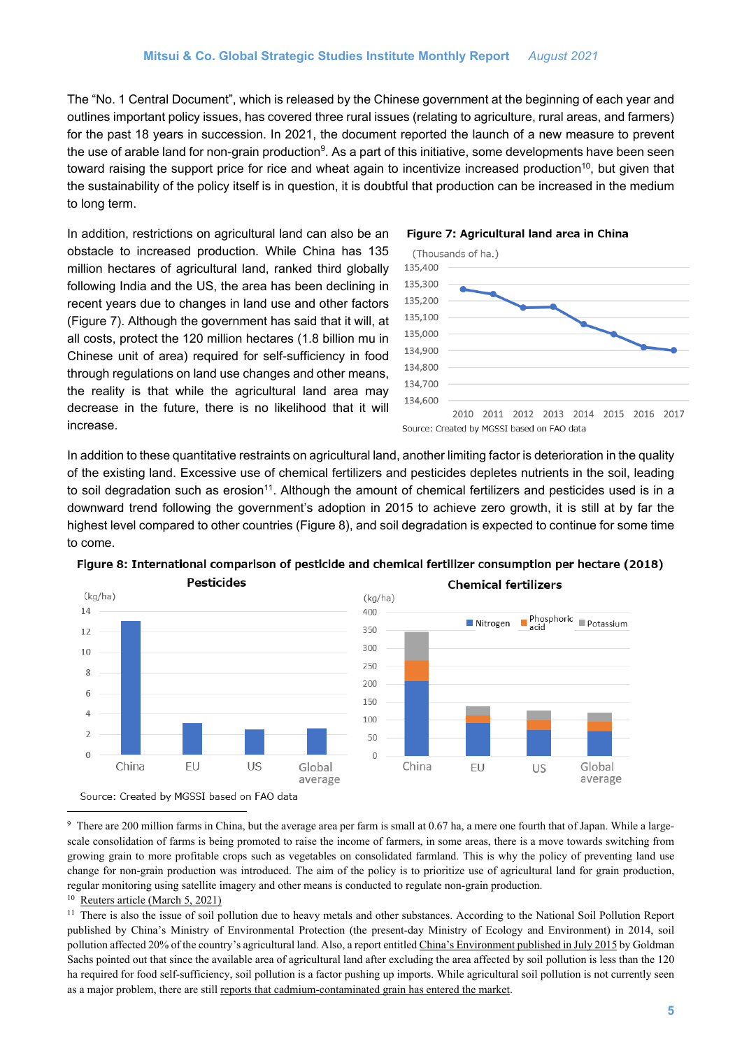The "No. 1 Central Document", which is released by the Chinese government at the beginning of each year and outlines important policy issues, has covered three rural issues (relating to agriculture, rural areas, and farmers) for the past 18 years in succession. In 2021, the document reported the launch of a new measure to prevent the use of arable land for non-grain production<sup>9</sup>. As a part of this initiative, some developments have been seen toward raising the support price for rice and wheat again to incentivize increased production<sup>10</sup>, but given that the sustainability of the policy itself is in question, it is doubtful that production can be increased in the medium to long term.

In addition, restrictions on agricultural land can also be an obstacle to increased production. While China has 135 million hectares of agricultural land, ranked third globally following India and the US, the area has been declining in recent years due to changes in land use and other factors (Figure 7). Although the government has said that it will, at all costs, protect the 120 million hectares (1.8 billion mu in Chinese unit of area) required for self-sufficiency in food through regulations on land use changes and other means, the reality is that while the agricultural land area may decrease in the future, there is no likelihood that it will increase.





In addition to these quantitative restraints on agricultural land, another limiting factor is deterioration in the quality of the existing land. Excessive use of chemical fertilizers and pesticides depletes nutrients in the soil, leading to soil degradation such as erosion<sup>11</sup>. Although the amount of chemical fertilizers and pesticides used is in a downward trend following the government's adoption in 2015 to achieve zero growth, it is still at by far the highest level compared to other countries (Figure 8), and soil degradation is expected to continue for some time to come.



Figure 8: International comparison of pesticide and chemical fertilizer consumption per hectare (2018)

<sup>9</sup> There are 200 million farms in China, but the average area per farm is small at 0.67 ha, a mere one fourth that of Japan. While a largescale consolidation of farms is being promoted to raise the income of farmers, in some areas, there is a move towards switching from growing grain to more profitable crops such as vegetables on consolidated farmland. This is why the policy of preventing land use change for non-grain production was introduced. The aim of the policy is to prioritize use of agricultural land for grain production, regular monitoring using satellite imagery and other means is conducted to regulate non-grain production. 10 [Reuters article \(March 5, 2021\)](https://www.reuters.com/article/china-parliament-agriculture-idUSL2N2L303Q) 

<sup>&</sup>lt;sup>11</sup> There is also the issue of soil pollution due to heavy metals and other substances. According to the National Soil Pollution Report published by China's Ministry of Environmental Protection (the present-day Ministry of Ecology and Environment) in 2014, soil pollution affected 20% of the country's agricultural land. Also, a report entitled [China's Environment published in July 2015 b](https://www.goldmansachs.com/insights/pages/interconnected-markets-folder/chinas-environment/report.pdf)y Goldman Sachs pointed out that since the available area of agricultural land after excluding the area affected by soil pollution is less than the 120 ha required for food self-sufficiency, soil pollution is a factor pushing up imports. While agricultural soil pollution is not currently seen as a major problem, there are still [reports that cadmium-contaminated grain has entered the market](https://www.globaltimes.cn/content/1186708.shtml).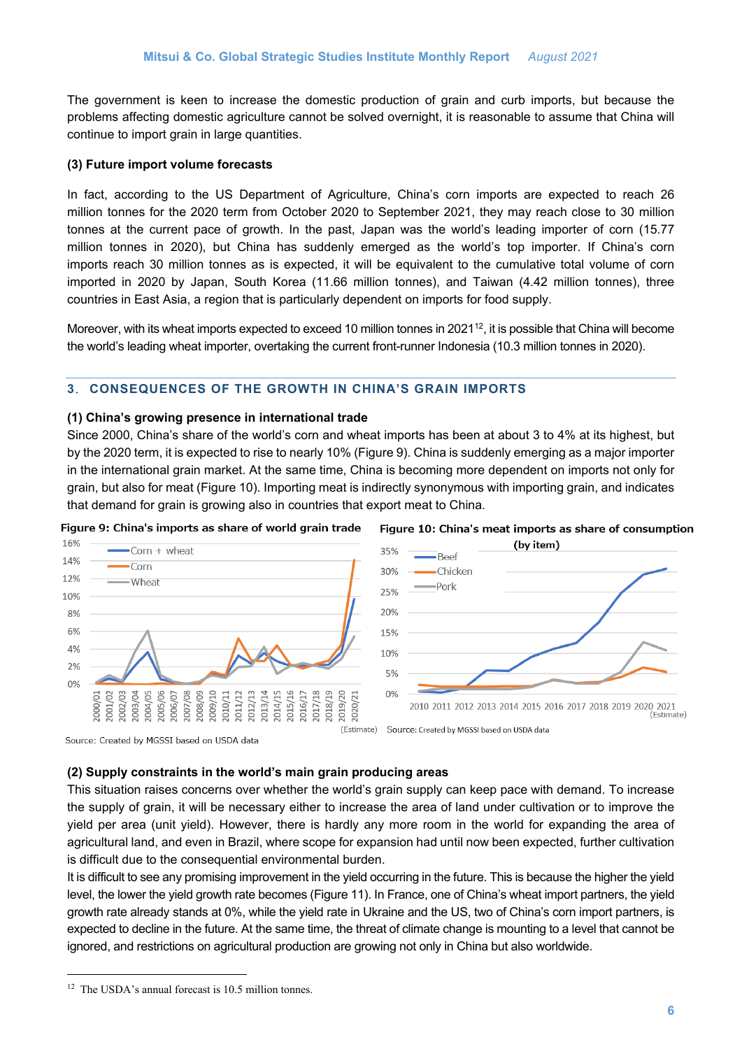The government is keen to increase the domestic production of grain and curb imports, but because the problems affecting domestic agriculture cannot be solved overnight, it is reasonable to assume that China will continue to import grain in large quantities.

### **(3) Future import volume forecasts**

In fact, according to the US Department of Agriculture, China's corn imports are expected to reach 26 million tonnes for the 2020 term from October 2020 to September 2021, they may reach close to 30 million tonnes at the current pace of growth. In the past, Japan was the world's leading importer of corn (15.77 million tonnes in 2020), but China has suddenly emerged as the world's top importer. If China's corn imports reach 30 million tonnes as is expected, it will be equivalent to the cumulative total volume of corn imported in 2020 by Japan, South Korea (11.66 million tonnes), and Taiwan (4.42 million tonnes), three countries in East Asia, a region that is particularly dependent on imports for food supply.

Moreover, with its wheat imports expected to exceed 10 million tonnes in 2021<sup>12</sup>, it is possible that China will become the world's leading wheat importer, overtaking the current front-runner Indonesia (10.3 million tonnes in 2020).

### **3**.**CONSEQUENCES OF THE GROWTH IN CHINA'S GRAIN IMPORTS**

#### **(1) China's growing presence in international trade**

Since 2000, China's share of the world's corn and wheat imports has been at about 3 to 4% at its highest, but by the 2020 term, it is expected to rise to nearly 10% (Figure 9). China is suddenly emerging as a major importer in the international grain market. At the same time, China is becoming more dependent on imports not only for grain, but also for meat (Figure 10). Importing meat is indirectly synonymous with importing grain, and indicates that demand for grain is growing also in countries that export meat to China.



Figure 9: China's imports as share of world grain trade

Source: Created by MGSSI based on USDA data

Source: Created by MGSSI based on USDA data

# **(2) Supply constraints in the world's main grain producing areas**

This situation raises concerns over whether the world's grain supply can keep pace with demand. To increase the supply of grain, it will be necessary either to increase the area of land under cultivation or to improve the yield per area (unit yield). However, there is hardly any more room in the world for expanding the area of agricultural land, and even in Brazil, where scope for expansion had until now been expected, further cultivation is difficult due to the consequential environmental burden.

It is difficult to see any promising improvement in the yield occurring in the future. This is because the higher the yield level, the lower the yield growth rate becomes (Figure 11). In France, one of China's wheat import partners, the yield growth rate already stands at 0%, while the yield rate in Ukraine and the US, two of China's corn import partners, is expected to decline in the future. At the same time, the threat of climate change is mounting to a level that cannot be ignored, and restrictions on agricultural production are growing not only in China but also worldwide.

<sup>&</sup>lt;sup>12</sup> The USDA's annual forecast is 10.5 million tonnes.